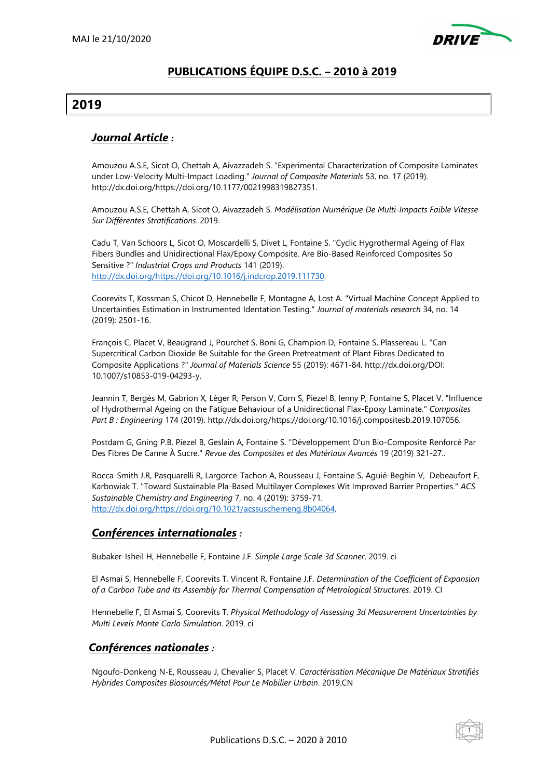

## **PUBLICATIONS ÉQUIPE D.S.C. – 2010 à 2019**

# **2019**

## *Journal Article :*

Amouzou A.S.E, Sicot O, Chettah A, Aivazzadeh S. "Experimental Characterization of Composite Laminates under Low-Velocity Multi-Impact Loading." *Journal of Composite Materials* 53, no. 17 (2019). http://dx.doi.org/https://doi.org/10.1177/0021998319827351.

Amouzou A.S.E, Chettah A, Sicot O, Aivazzadeh S. *Modélisation Numérique De Multi-Impacts Faible Vitesse Sur Différentes Stratifications*. 2019.

Cadu T, Van Schoors L, Sicot O, Moscardelli S, Divet L, Fontaine S. "Cyclic Hygrothermal Ageing of Flax Fibers Bundles and Unidirectional Flax/Epoxy Composite. Are Bio-Based Reinforced Composites So Sensitive ?" *Industrial Crops and Products* 141 (2019). http://dx.doi.org/https://doi.org/10.1016/j.indcrop.2019.111730.

Coorevits T, Kossman S, Chicot D, Hennebelle F, Montagne A, Lost A. "Virtual Machine Concept Applied to Uncertainties Estimation in Instrumented Identation Testing." *Journal of materials research* 34, no. 14 (2019): 2501-16.

François C, Placet V, Beaugrand J, Pourchet S, Boni G, Champion D, Fontaine S, Plassereau L. "Can Supercritical Carbon Dioxide Be Suitable for the Green Pretreatment of Plant Fibres Dedicated to Composite Applications ?" *Journal of Materials Science* 55 (2019): 4671-84. http://dx.doi.org/DOI: 10.1007/s10853-019-04293-y.

Jeannin T, Bergès M, Gabrion X, Léger R, Person V, Corn S, Piezel B, Ienny P, Fontaine S, Placet V. "Influence of Hydrothermal Ageing on the Fatigue Behaviour of a Unidirectional Flax-Epoxy Laminate." *Composites Part B : Engineering* 174 (2019). http://dx.doi.org/https://doi.org/10.1016/j.compositesb.2019.107056.

Postdam G, Gning P.B, Piezel B, Geslain A, Fontaine S. "Développement D'un Bio-Composite Renforcé Par Des Fibres De Canne À Sucre." *Revue des Composites et des Matériaux Avancés* 19 (2019) 321-27..

Rocca-Smith J.R, Pasquarelli R, Largorce-Tachon A, Rousseau J, Fontaine S, Aguié-Beghin V, Debeaufort F, Karbowiak T. "Toward Sustainable Pla-Based Multilayer Complexes Wit Improved Barrier Properties." *ACS Sustainable Chemistry and Engineering* 7, no. 4 (2019): 3759-71. http://dx.doi.org/https://doi.org/10.1021/acssuschemeng.8b04064.

## *Conférences internationales :*

Bubaker-Isheil H, Hennebelle F, Fontaine J.F. *Simple Large Scale 3d Scanner*. 2019. ci

El Asmai S, Hennebelle F, Coorevits T, Vincent R, Fontaine J.F. *Determination of the Coefficient of Expansion of a Carbon Tube and Its Assembly for Thermal Compensation of Metrological Structures*. 2019. CI

Hennebelle F, El Asmai S, Coorevits T. *Physical Methodology of Assessing 3d Measurement Uncertainties by Multi Levels Monte Carlo Simulation*. 2019. ci

#### *Conférences nationales :*

Ngoufo-Donkeng N-E, Rousseau J, Chevalier S, Placet V. *Caractérisation Mécanique De Matériaux Stratifiés Hybrides Composites Biosourcés/Métal Pour Le Mobilier Urbain*. 2019.CN

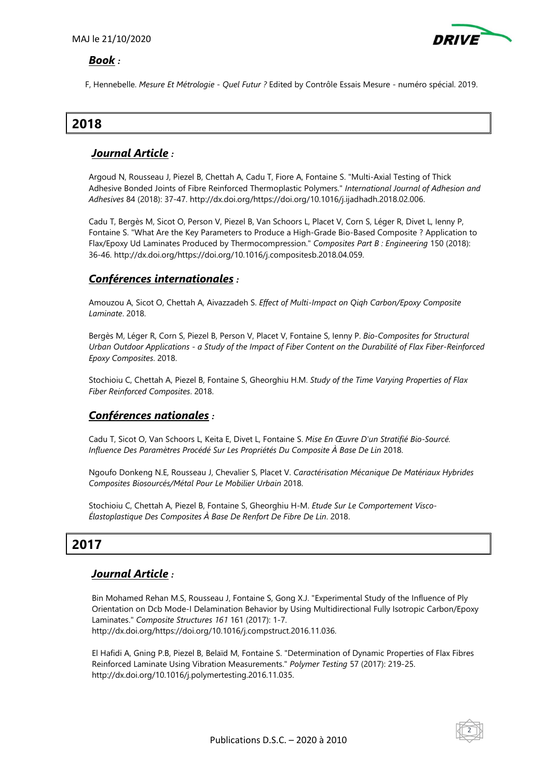

#### *Book :*

F, Hennebelle. *Mesure Et Métrologie - Quel Futur ?* Edited by Contrôle Essais Mesure - numéro spécial. 2019.

# **2018**

## *Journal Article :*

Argoud N, Rousseau J, Piezel B, Chettah A, Cadu T, Fiore A, Fontaine S. "Multi-Axial Testing of Thick Adhesive Bonded Joints of Fibre Reinforced Thermoplastic Polymers." *International Journal of Adhesion and Adhesives* 84 (2018): 37-47. http://dx.doi.org/https://doi.org/10.1016/j.ijadhadh.2018.02.006.

Cadu T, Bergès M, Sicot O, Person V, Piezel B, Van Schoors L, Placet V, Corn S, Léger R, Divet L, Ienny P, Fontaine S. "What Are the Key Parameters to Produce a High-Grade Bio-Based Composite ? Application to Flax/Epoxy Ud Laminates Produced by Thermocompression." *Composites Part B : Engineering* 150 (2018): 36-46. http://dx.doi.org/https://doi.org/10.1016/j.compositesb.2018.04.059.

### *Conférences internationales :*

Amouzou A, Sicot O, Chettah A, Aivazzadeh S. *Effect of Multi-Impact on Qiqh Carbon/Epoxy Composite Laminate*. 2018.

Bergès M, Léger R, Corn S, Piezel B, Person V, Placet V, Fontaine S, Ienny P. *Bio-Composites for Structural Urban Outdoor Applications - a Study of the Impact of Fiber Content on the Durabilité of Flax Fiber-Reinforced Epoxy Composites*. 2018.

Stochioiu C, Chettah A, Piezel B, Fontaine S, Gheorghiu H.M. *Study of the Time Varying Properties of Flax Fiber Reinforced Composites*. 2018.

#### *Conférences nationales :*

Cadu T, Sicot O, Van Schoors L, Keita E, Divet L, Fontaine S. *Mise En Œuvre D'un Stratifié Bio-Sourcé.*  Influence Des Paramètres Procédé Sur Les Propriétés Du Composite À Base De Lin 2018.

Ngoufo Donkeng N.E, Rousseau J, Chevalier S, Placet V. *Caractérisation Mécanique De Matériaux Hybrides Composites Biosourcés/Métal Pour Le Mobilier Urbain* 2018.

Stochioiu C, Chettah A, Piezel B, Fontaine S, Gheorghiu H-M. *Etude Sur Le Comportement Visco-Élastoplastique Des Composites À Base De Renfort De Fibre De Lin*. 2018.

# **2017**

## *Journal Article :*

Bin Mohamed Rehan M.S, Rousseau J, Fontaine S, Gong X.J. "Experimental Study of the Influence of Ply Orientation on Dcb Mode-I Delamination Behavior by Using Multidirectional Fully Isotropic Carbon/Epoxy Laminates." *Composite Structures 161* 161 (2017): 1-7. http://dx.doi.org/https://doi.org/10.1016/j.compstruct.2016.11.036.

El Hafidi A, Gning P.B, Piezel B, Belaïd M, Fontaine S. "Determination of Dynamic Properties of Flax Fibres Reinforced Laminate Using Vibration Measurements." *Polymer Testing* 57 (2017): 219-25. http://dx.doi.org/10.1016/j.polymertesting.2016.11.035.

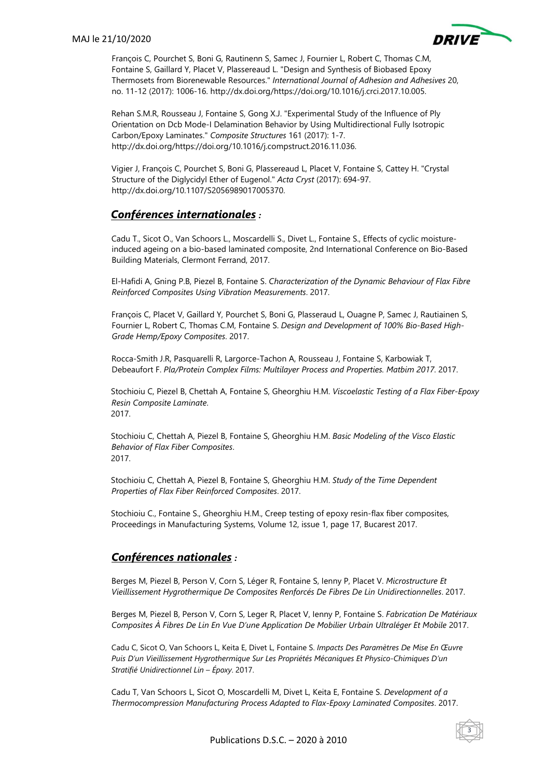

3

François C, Pourchet S, Boni G, Rautinenn S, Samec J, Fournier L, Robert C, Thomas C.M, Fontaine S, Gaillard Y, Placet V, Plassereaud L. "Design and Synthesis of Biobased Epoxy Thermosets from Biorenewable Resources." *International Journal of Adhesion and Adhesives* 20, no. 11-12 (2017): 1006-16. http://dx.doi.org/https://doi.org/10.1016/j.crci.2017.10.005.

Rehan S.M.R, Rousseau J, Fontaine S, Gong X.J. "Experimental Study of the Influence of Ply Orientation on Dcb Mode-I Delamination Behavior by Using Multidirectional Fully Isotropic Carbon/Epoxy Laminates." *Composite Structures* 161 (2017): 1-7. http://dx.doi.org/https://doi.org/10.1016/j.compstruct.2016.11.036.

Vigier J, François C, Pourchet S, Boni G, Plassereaud L, Placet V, Fontaine S, Cattey H. "Crystal Structure of the Diglycidyl Ether of Eugenol." *Acta Cryst* (2017): 694-97. http://dx.doi.org/10.1107/S2056989017005370.

### *Conférences internationales :*

Cadu T., Sicot O., Van Schoors L., Moscardelli S., Divet L., Fontaine S., Effects of cyclic moistureinduced ageing on a bio-based laminated composite, 2nd International Conference on Bio-Based Building Materials, Clermont Ferrand, 2017.

El-Hafidi A, Gning P.B, Piezel B, Fontaine S. *Characterization of the Dynamic Behaviour of Flax Fibre Reinforced Composites Using Vibration Measurements*. 2017.

François C, Placet V, Gaillard Y, Pourchet S, Boni G, Plasseraud L, Ouagne P, Samec J, Rautiainen S, Fournier L, Robert C, Thomas C.M, Fontaine S. *Design and Development of 100% Bio-Based High-Grade Hemp/Epoxy Composites*. 2017.

Rocca-Smith J.R, Pasquarelli R, Largorce-Tachon A, Rousseau J, Fontaine S, Karbowiak T, Debeaufort F. *Pla/Protein Complex Films: Multilayer Process and Properties. Matbim 2017*. 2017.

Stochioiu C, Piezel B, Chettah A, Fontaine S, Gheorghiu H.M. *Viscoelastic Testing of a Flax Fiber-Epoxy Resin Composite Laminate*. 2017.

Stochioiu C, Chettah A, Piezel B, Fontaine S, Gheorghiu H.M. *Basic Modeling of the Visco Elastic Behavior of Flax Fiber Composites*. 2017.

Stochioiu C, Chettah A, Piezel B, Fontaine S, Gheorghiu H.M. *Study of the Time Dependent Properties of Flax Fiber Reinforced Composites*. 2017.

Stochioiu C., Fontaine S., Gheorghiu H.M., Creep testing of epoxy resin-flax fiber composites, Proceedings in Manufacturing Systems, Volume 12, issue 1, page 17, Bucarest 2017.

## *Conférences nationales :*

Berges M, Piezel B, Person V, Corn S, Léger R, Fontaine S, Ienny P, Placet V. *Microstructure Et Vieillissement Hygrothermique De Composites Renforcés De Fibres De Lin Unidirectionnelles*. 2017.

Berges M, Piezel B, Person V, Corn S, Leger R, Placet V, Ienny P, Fontaine S. *Fabrication De Matériaux Composites À Fibres De Lin En Vue D'une Application De Mobilier Urbain Ultraléger Et Mobile* 2017.

Cadu C, Sicot O, Van Schoors L, Keita E, Divet L, Fontaine S. *Impacts Des Paramètres De Mise En Œuvre Puis D'un Vieillissement Hygrothermique Sur Les Propriétés Mécaniques Et Physico-Chimiques D'un Stratifié Unidirectionnel Lin – Époxy*. 2017.

Cadu T, Van Schoors L, Sicot O, Moscardelli M, Divet L, Keita E, Fontaine S. *Development of a Thermocompression Manufacturing Process Adapted to Flax-Epoxy Laminated Composites*. 2017.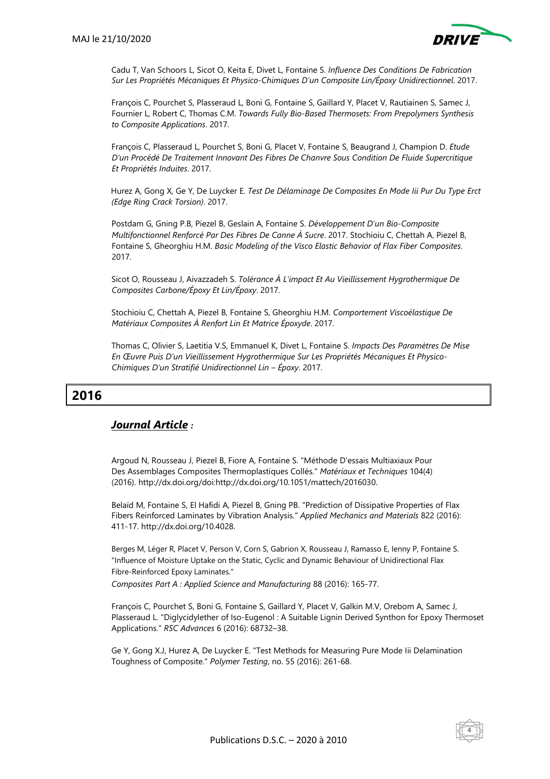

Cadu T, Van Schoors L, Sicot O, Keita E, Divet L, Fontaine S. *Influence Des Conditions De Fabrication Sur Les Propriétés Mécaniques Et Physico-Chimiques D'un Composite Lin/Époxy Unidirectionnel*. 2017.

François C, Pourchet S, Plasseraud L, Boni G, Fontaine S, Gaillard Y, Placet V, Rautiainen S, Samec J, Fournier L, Robert C, Thomas C.M. *Towards Fully Bio-Based Thermosets: From Prepolymers Synthesis to Composite Applications*. 2017.

François C, Plasseraud L, Pourchet S, Boni G, Placet V, Fontaine S, Beaugrand J, Champion D. *Etude D'un Procédé De Traitement Innovant Des Fibres De Chanvre Sous Condition De Fluide Supercritique Et Propriétés Induites*. 2017.

Hurez A, Gong X, Ge Y, De Luycker E. *Test De Délaminage De Composites En Mode Iii Pur Du Type Erct (Edge Ring Crack Torsion)*. 2017.

Postdam G, Gning P.B, Piezel B, Geslain A, Fontaine S. *Développement D'un Bio-Composite Multifonctionnel Renforcé Par Des Fibres De Canne À Sucre*. 2017. Stochioiu C, Chettah A, Piezel B, Fontaine S, Gheorghiu H.M. *Basic Modeling of the Visco Elastic Behavior of Flax Fiber Composites*. 2017.

Sicot O, Rousseau J, Aivazzadeh S. *Tolérance À L'impact Et Au Vieillissement Hygrothermique De Composites Carbone/Époxy Et Lin/Époxy*. 2017.

Stochioiu C, Chettah A, Piezel B, Fontaine S, Gheorghiu H.M. *Comportement Viscoélastique De Matériaux Composites À Renfort Lin Et Matrice Époxyde*. 2017.

Thomas C, Olivier S, Laetitia V.S, Emmanuel K, Divet L, Fontaine S. *Impacts Des Paramètres De Mise En Œuvre Puis D'un Vieillissement Hygrothermique Sur Les Propriétés Mécaniques Et Physico-Chimiques D'un Stratifié Unidirectionnel Lin – Époxy*. 2017.

# **2016**

## *Journal Article :*

Argoud N, Rousseau J, Piezel B, Fiore A, Fontaine S. "Méthode D'essais Multiaxiaux Pour Des Assemblages Composites Thermoplastiques Collés." *Matériaux et Techniques* 104(4) (2016). http://dx.doi.org/doi:http://dx.doi.org/10.1051/mattech/2016030.

Belaïd M, Fontaine S, El Hafidi A, Piezel B, Gning PB. "Prediction of Dissipative Properties of Flax Fibers Reinforced Laminates by Vibration Analysis." *Applied Mechanics and Materials* 822 (2016): 411-17. http://dx.doi.org/10.4028.

Berges M, Léger R, Placet V, Person V, Corn S, Gabrion X, Rousseau J, Ramasso E, Ienny P, Fontaine S. "Influence of Moisture Uptake on the Static, Cyclic and Dynamic Behaviour of Unidirectional Flax Fibre-Reinforced Epoxy Laminates."

*Composites Part A : Applied Science and Manufacturing* 88 (2016): 165-77.

François C, Pourchet S, Boni G, Fontaine S, Gaillard Y, Placet V, Galkin M.V, Orebom A, Samec J, Plasseraud L. "Diglycidylether of Iso-Eugenol : A Suitable Lignin Derived Synthon for Epoxy Thermoset Applications." *RSC Advances* 6 (2016): 68732–38.

Ge Y, Gong X.J, Hurez A, De Luycker E. "Test Methods for Measuring Pure Mode Iii Delamination Toughness of Composite." *Polymer Testing*, no. 55 (2016): 261-68.

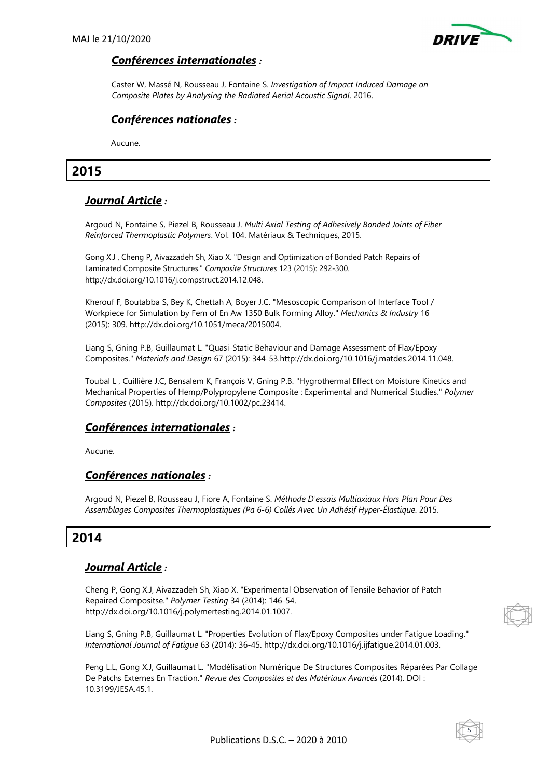

### *Conférences internationales :*

Caster W, Massé N, Rousseau J, Fontaine S. *Investigation of Impact Induced Damage on Composite Plates by Analysing the Radiated Aerial Acoustic Signal*. 2016.

# *Conférences nationales :*

Aucune.

# **2015**

# *Journal Article :*

Argoud N, Fontaine S, Piezel B, Rousseau J. *Multi Axial Testing of Adhesively Bonded Joints of Fiber Reinforced Thermoplastic Polymers*. Vol. 104. Matériaux & Techniques, 2015.

Gong X.J , Cheng P, Aivazzadeh Sh, Xiao X. "Design and Optimization of Bonded Patch Repairs of Laminated Composite Structures." *Composite Structures* 123 (2015): 292-300. http://dx.doi.org/10.1016/j.compstruct.2014.12.048.

Kherouf F, Boutabba S, Bey K, Chettah A, Boyer J.C. "Mesoscopic Comparison of Interface Tool / Workpiece for Simulation by Fem of En Aw 1350 Bulk Forming Alloy." *Mechanics & Industry* 16 (2015): 309. http://dx.doi.org/10.1051/meca/2015004.

Liang S, Gning P.B, Guillaumat L. "Quasi-Static Behaviour and Damage Assessment of Flax/Epoxy Composites." *Materials and Design* 67 (2015): 344-53.http://dx.doi.org/10.1016/j.matdes.2014.11.048.

Toubal L , Cuillière J.C, Bensalem K, François V, Gning P.B. "Hygrothermal Effect on Moisture Kinetics and Mechanical Properties of Hemp/Polypropylene Composite : Experimental and Numerical Studies." *Polymer Composites* (2015). http://dx.doi.org/10.1002/pc.23414.

## *Conférences internationales :*

Aucune.

## *Conférences nationales :*

Argoud N, Piezel B, Rousseau J, Fiore A, Fontaine S. *Méthode D'essais Multiaxiaux Hors Plan Pour Des Assemblages Composites Thermoplastiques (Pa 6-6) Collés Avec Un Adhésif Hyper-Élastique*. 2015.

# **2014**

## *Journal Article :*

Cheng P, Gong X.J, Aivazzadeh Sh, Xiao X. "Experimental Observation of Tensile Behavior of Patch Repaired Compositse." *Polymer Testing* 34 (2014): 146-54. http://dx.doi.org/10.1016/j.polymertesting.2014.01.1007.

Liang S, Gning P.B, Guillaumat L. "Properties Evolution of Flax/Epoxy Composites under Fatigue Loading." *International Journal of Fatigue* 63 (2014): 36-45. http://dx.doi.org/10.1016/j.ijfatigue.2014.01.003.

Peng L.L, Gong X.J, Guillaumat L. "Modélisation Numérique De Structures Composites Réparées Par Collage De Patchs Externes En Traction." *Revue des Composites et des Matériaux Avancés* (2014). DOI : 10.3199/JESA.45.1.



5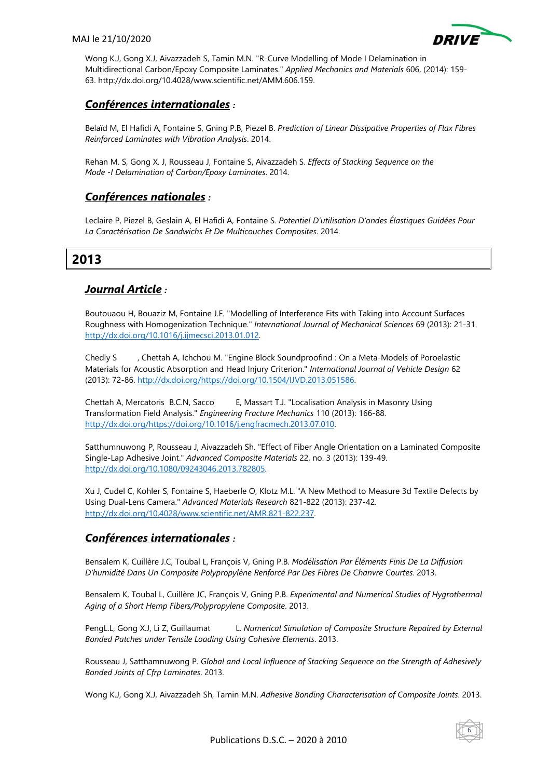

Wong K.J, Gong X.J, Aivazzadeh S, Tamin M.N. "R-Curve Modelling of Mode I Delamination in Multidirectional Carbon/Epoxy Composite Laminates." *Applied Mechanics and Materials* 606, (2014): 159- 63. http://dx.doi.org/10.4028/www.scientific.net/AMM.606.159.

# *Conférences internationales :*

Belaïd M, El Hafidi A, Fontaine S, Gning P.B, Piezel B. *Prediction of Linear Dissipative Properties of Flax Fibres Reinforced Laminates with Vibration Analysis*. 2014.

Rehan M. S, Gong X. J, Rousseau J, Fontaine S, Aivazzadeh S. *Effects of Stacking Sequence on the Mode -I Delamination of Carbon/Epoxy Laminates*. 2014.

### *Conférences nationales :*

Leclaire P, Piezel B, Geslain A, El Hafidi A, Fontaine S. *Potentiel D'utilisation D'ondes Élastiques Guidées Pour La Caractérisation De Sandwichs Et De Multicouches Composites*. 2014.

# **2013**

# *Journal Article :*

Boutouaou H, Bouaziz M, Fontaine J.F. "Modelling of Interference Fits with Taking into Account Surfaces Roughness with Homogenization Technique." *International Journal of Mechanical Sciences* 69 (2013): 21-31. http://dx.doi.org/10.1016/j.ijmecsci.2013.01.012.

Chedly S , Chettah A, Ichchou M. "Engine Block Soundproofind : On a Meta-Models of Poroelastic Materials for Acoustic Absorption and Head Injury Criterion." *International Journal of Vehicle Design* 62 (2013): 72-86. http://dx.doi.org/https://doi.org/10.1504/IJVD.2013.051586.

Chettah A, Mercatoris B.C.N, Sacco E, Massart T.J. "Localisation Analysis in Masonry Using Transformation Field Analysis." *Engineering Fracture Mechanics* 110 (2013): 166-88. http://dx.doi.org/https://doi.org/10.1016/j.engfracmech.2013.07.010.

Satthumnuwong P, Rousseau J, Aivazzadeh Sh. "Effect of Fiber Angle Orientation on a Laminated Composite Single-Lap Adhesive Joint." *Advanced Composite Materials* 22, no. 3 (2013): 139-49. http://dx.doi.org/10.1080/09243046.2013.782805.

Xu J, Cudel C, Kohler S, Fontaine S, Haeberle O, Klotz M.L. "A New Method to Measure 3d Textile Defects by Using Dual-Lens Camera." *Advanced Materials Research* 821-822 (2013): 237-42. http://dx.doi.org/10.4028/www.scientific.net/AMR.821-822.237.

## *Conférences internationales :*

Bensalem K, Cuillère J.C, Toubal L, François V, Gning P.B. *Modélisation Par Éléments Finis De La Diffusion D'humidité Dans Un Composite Polypropylène Renforcé Par Des Fibres De Chanvre Courtes*. 2013.

Bensalem K, Toubal L, Cuillère JC, François V, Gning P.B. *Experimental and Numerical Studies of Hygrothermal Aging of a Short Hemp Fibers/Polypropylene Composite*. 2013.

PengL.L, Gong X.J, Li Z, Guillaumat L. *Numerical Simulation of Composite Structure Repaired by External Bonded Patches under Tensile Loading Using Cohesive Elements*. 2013.

Rousseau J, Satthamnuwong P. *Global and Local Influence of Stacking Sequence on the Strength of Adhesively Bonded Joints of Cfrp Laminates*. 2013.

Wong K.J, Gong X.J, Aivazzadeh Sh, Tamin M.N. *Adhesive Bonding Characterisation of Composite Joints*. 2013.

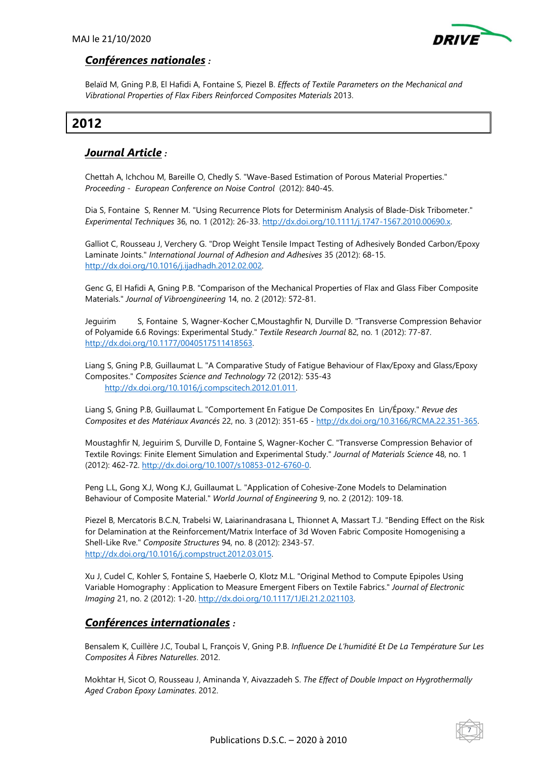

#### *Conférences nationales :*

Belaïd M, Gning P.B, El Hafidi A, Fontaine S, Piezel B. *Effects of Textile Parameters on the Mechanical and Vibrational Properties of Flax Fibers Reinforced Composites Materials* 2013.

# **2012**

# *Journal Article :*

Chettah A, Ichchou M, Bareille O, Chedly S. "Wave-Based Estimation of Porous Material Properties." *Proceeding - European Conference on Noise Control* (2012): 840-45.

Dia S, Fontaine S, Renner M. "Using Recurrence Plots for Determinism Analysis of Blade-Disk Tribometer." *Experimental Techniques* 36, no. 1 (2012): 26-33. http://dx.doi.org/10.1111/j.1747-1567.2010.00690.x.

Galliot C, Rousseau J, Verchery G. "Drop Weight Tensile Impact Testing of Adhesively Bonded Carbon/Epoxy Laminate Joints." *International Journal of Adhesion and Adhesives* 35 (2012): 68-15. http://dx.doi.org/10.1016/j.ijadhadh.2012.02.002.

Genc G, El Hafidi A, Gning P.B. "Comparison of the Mechanical Properties of Flax and Glass Fiber Composite Materials." *Journal of Vibroengineering* 14, no. 2 (2012): 572-81.

Jeguirim S, Fontaine S, Wagner-Kocher C,Moustaghfir N, Durville D. "Transverse Compression Behavior of Polyamide 6.6 Rovings: Experimental Study." *Textile Research Journal* 82, no. 1 (2012): 77-87. http://dx.doi.org/10.1177/0040517511418563.

Liang S, Gning P.B, Guillaumat L. "A Comparative Study of Fatigue Behaviour of Flax/Epoxy and Glass/Epoxy Composites." *Composites Science and Technology* 72 (2012): 535-43 http://dx.doi.org/10.1016/j.compscitech.2012.01.011.

Liang S, Gning P.B, Guillaumat L. "Comportement En Fatigue De Composites En Lin/Époxy." *Revue des Composites et des Matériaux Avancés* 22, no. 3 (2012): 351-65 - http://dx.doi.org/10.3166/RCMA.22.351-365.

Moustaghfir N, Jeguirim S, Durville D, Fontaine S, Wagner-Kocher C. "Transverse Compression Behavior of Textile Rovings: Finite Element Simulation and Experimental Study." *Journal of Materials Science* 48, no. 1 (2012): 462-72. http://dx.doi.org/10.1007/s10853-012-6760-0.

Peng L.L, Gong X.J, Wong K.J, Guillaumat L. "Application of Cohesive-Zone Models to Delamination Behaviour of Composite Material." *World Journal of Engineering* 9, no. 2 (2012): 109-18.

Piezel B, Mercatoris B.C.N, Trabelsi W, Laiarinandrasana L, Thionnet A, Massart T.J. "Bending Effect on the Risk for Delamination at the Reinforcement/Matrix Interface of 3d Woven Fabric Composite Homogenising a Shell-Like Rve." *Composite Structures* 94, no. 8 (2012): 2343-57. http://dx.doi.org/10.1016/j.compstruct.2012.03.015.

Xu J, Cudel C, Kohler S, Fontaine S, Haeberle O, Klotz M.L. "Original Method to Compute Epipoles Using Variable Homography : Application to Measure Emergent Fibers on Textile Fabrics." *Journal of Electronic Imaging* 21, no. 2 (2012): 1-20. http://dx.doi.org/10.1117/1JEI.21.2.021103.

## *Conférences internationales :*

Bensalem K, Cuillère J.C, Toubal L, François V, Gning P.B. *Influence De L'humidité Et De La Température Sur Les Composites À Fibres Naturelles*. 2012.

Mokhtar H, Sicot O, Rousseau J, Aminanda Y, Aivazzadeh S. *The Effect of Double Impact on Hygrothermally Aged Crabon Epoxy Laminates*. 2012.

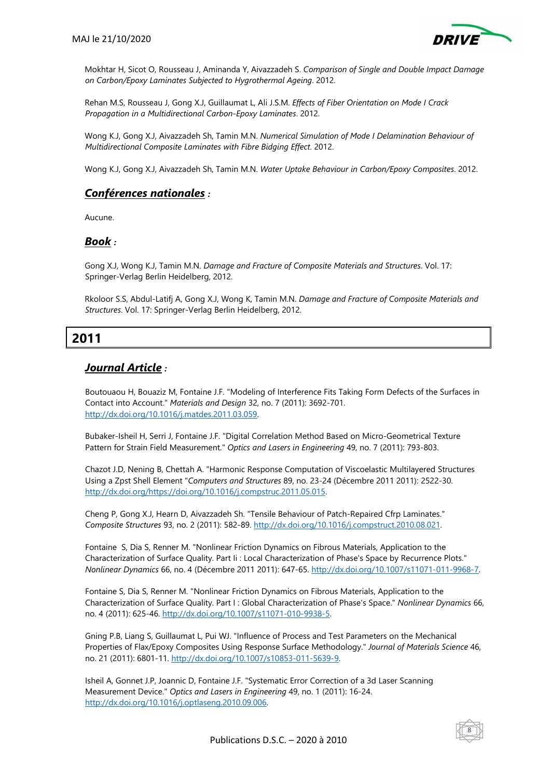

Mokhtar H, Sicot O, Rousseau J, Aminanda Y, Aivazzadeh S. *Comparison of Single and Double Impact Damage on Carbon/Epoxy Laminates Subjected to Hygrothermal Ageing*. 2012.

Rehan M.S, Rousseau J, Gong X.J, Guillaumat L, Ali J.S.M. *Effects of Fiber Orientation on Mode I Crack Propagation in a Multidirectional Carbon-Epoxy Laminates*. 2012.

Wong K.J, Gong X.J, Aivazzadeh Sh, Tamin M.N. *Numerical Simulation of Mode I Delamination Behaviour of Multidirectional Composite Laminates with Fibre Bidging Effect*. 2012.

Wong K.J, Gong X.J, Aivazzadeh Sh, Tamin M.N. *Water Uptake Behaviour in Carbon/Epoxy Composites*. 2012.

## *Conférences nationales :*

Aucune.

#### *Book :*

Gong X.J, Wong K.J, Tamin M.N. *Damage and Fracture of Composite Materials and Structures*. Vol. 17: Springer-Verlag Berlin Heidelberg, 2012.

Rkoloor S.S, Abdul-Latifj A, Gong X.J, Wong K, Tamin M.N. *Damage and Fracture of Composite Materials and Structures*. Vol. 17: Springer-Verlag Berlin Heidelberg, 2012.

# **2011**

## *Journal Article :*

Boutouaou H, Bouaziz M, Fontaine J.F. "Modeling of Interference Fits Taking Form Defects of the Surfaces in Contact into Account." *Materials and Design* 32, no. 7 (2011): 3692-701. http://dx.doi.org/10.1016/j.matdes.2011.03.059.

Bubaker-Isheil H, Serri J, Fontaine J.F. "Digital Correlation Method Based on Micro-Geometrical Texture Pattern for Strain Field Measurement." *Optics and Lasers in Engineering* 49, no. 7 (2011): 793-803.

Chazot J.D, Nening B, Chettah A. "Harmonic Response Computation of Viscoelastic Multilayered Structures Using a Zpst Shell Element "*Computers and Structures* 89, no. 23-24 (Décembre 2011 2011): 2522-30. http://dx.doi.org/https://doi.org/10.1016/j.compstruc.2011.05.015.

Cheng P, Gong X.J, Hearn D, Aivazzadeh Sh. "Tensile Behaviour of Patch-Repaired Cfrp Laminates." *Composite Structures* 93, no. 2 (2011): 582-89. http://dx.doi.org/10.1016/j.compstruct.2010.08.021.

Fontaine S, Dia S, Renner M. "Nonlinear Friction Dynamics on Fibrous Materials, Application to the Characterization of Surface Quality. Part Ii : Local Characterization of Phase's Space by Recurrence Plots." *Nonlinear Dynamics* 66, no. 4 (Décembre 2011 2011): 647-65. http://dx.doi.org/10.1007/s11071-011-9968-7.

Fontaine S, Dia S, Renner M. "Nonlinear Friction Dynamics on Fibrous Materials, Application to the Characterization of Surface Quality. Part I : Global Characterization of Phase's Space." *Nonlinear Dynamics* 66, no. 4 (2011): 625-46. http://dx.doi.org/10.1007/s11071-010-9938-5.

Gning P.B, Liang S, Guillaumat L, Pui WJ. "Influence of Process and Test Parameters on the Mechanical Properties of Flax/Epoxy Composites Using Response Surface Methodology." *Journal of Materials Science* 46, no. 21 (2011): 6801-11. http://dx.doi.org/10.1007/s10853-011-5639-9.

Isheil A, Gonnet J.P, Joannic D, Fontaine J.F. "Systematic Error Correction of a 3d Laser Scanning Measurement Device." *Optics and Lasers in Engineering* 49, no. 1 (2011): 16-24. http://dx.doi.org/10.1016/j.optlaseng.2010.09.006.

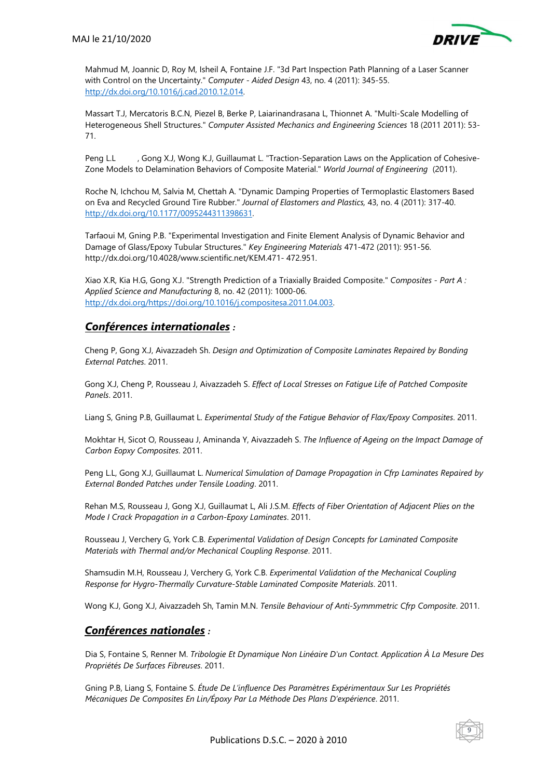

Mahmud M, Joannic D, Roy M, Isheil A, Fontaine J.F. "3d Part Inspection Path Planning of a Laser Scanner with Control on the Uncertainty." *Computer - Aided Design* 43, no. 4 (2011): 345-55. http://dx.doi.org/10.1016/j.cad.2010.12.014.

Massart T.J, Mercatoris B.C.N, Piezel B, Berke P, Laiarinandrasana L, Thionnet A. "Multi-Scale Modelling of Heterogeneous Shell Structures." *Computer Assisted Mechanics and Engineering Sciences* 18 (2011 2011): 53- 71.

Peng L.L , Gong X.J, Wong K.J, Guillaumat L. "Traction-Separation Laws on the Application of Cohesive-Zone Models to Delamination Behaviors of Composite Material." *World Journal of Engineering* (2011).

Roche N, Ichchou M, Salvia M, Chettah A. "Dynamic Damping Properties of Termoplastic Elastomers Based on Eva and Recycled Ground Tire Rubber." *Journal of Elastomers and Plastics,* 43, no. 4 (2011): 317-40. http://dx.doi.org/10.1177/0095244311398631.

Tarfaoui M, Gning P.B. "Experimental Investigation and Finite Element Analysis of Dynamic Behavior and Damage of Glass/Epoxy Tubular Structures." *Key Engineering Materials* 471-472 (2011): 951-56. http://dx.doi.org/10.4028/www.scientific.net/KEM.471- 472.951.

Xiao X.R, Kia H.G, Gong X.J. "Strength Prediction of a Triaxially Braided Composite." *Composites - Part A : Applied Science and Manufacturing* 8, no. 42 (2011): 1000-06. http://dx.doi.org/https://doi.org/10.1016/j.compositesa.2011.04.003.

### *Conférences internationales :*

Cheng P, Gong X.J, Aivazzadeh Sh. *Design and Optimization of Composite Laminates Repaired by Bonding External Patches*. 2011.

Gong X.J, Cheng P, Rousseau J, Aivazzadeh S. *Effect of Local Stresses on Fatigue Life of Patched Composite Panels*. 2011.

Liang S, Gning P.B, Guillaumat L. *Experimental Study of the Fatigue Behavior of Flax/Epoxy Composites*. 2011.

Mokhtar H, Sicot O, Rousseau J, Aminanda Y, Aivazzadeh S. *The Influence of Ageing on the Impact Damage of Carbon Eopxy Composites*. 2011.

Peng L.L, Gong X.J, Guillaumat L. *Numerical Simulation of Damage Propagation in Cfrp Laminates Repaired by External Bonded Patches under Tensile Loading*. 2011.

Rehan M.S, Rousseau J, Gong X.J, Guillaumat L, Ali J.S.M. *Effects of Fiber Orientation of Adjacent Plies on the Mode I Crack Propagation in a Carbon-Epoxy Laminates*. 2011.

Rousseau J, Verchery G, York C.B. *Experimental Validation of Design Concepts for Laminated Composite Materials with Thermal and/or Mechanical Coupling Response*. 2011.

Shamsudin M.H, Rousseau J, Verchery G, York C.B. *Experimental Validation of the Mechanical Coupling Response for Hygro-Thermally Curvature-Stable Laminated Composite Materials*. 2011.

Wong K.J, Gong X.J, Aivazzadeh Sh, Tamin M.N. *Tensile Behaviour of Anti-Symmmetric Cfrp Composite*. 2011.

## *Conférences nationales :*

Dia S, Fontaine S, Renner M. *Tribologie Et Dynamique Non Linéaire D'un Contact. Application À La Mesure Des Propriétés De Surfaces Fibreuses*. 2011.

Gning P.B, Liang S, Fontaine S. *Étude De L'influence Des Paramètres Expérimentaux Sur Les Propriétés Mécaniques De Composites En Lin/Époxy Par La Méthode Des Plans D'expérience*. 2011.